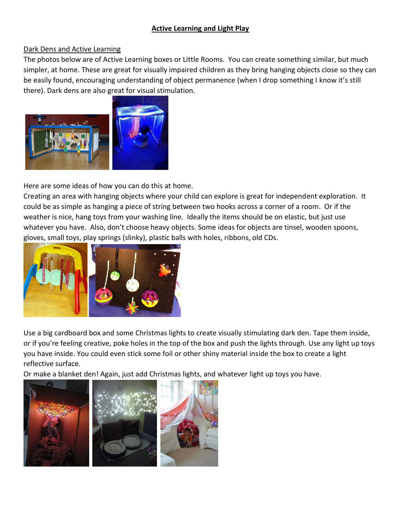## **Active Learning and Light Play**

## Dark Dens and Active Learning

The photos below are of Active Learning boxes or Little Rooms. You can create something similar, but much simpler, at home. These are great for visually impaired children as they bring hanging objects close so they can be easily found, encouraging understanding of object permanence (when I drop something I know it's still there). Dark dens are also great for visual stimulation.



Here are some ideas of how you can do this at home.

Creating an area with hanging objects where your child can explore is great for independent exploration. It could be as simple as hanging a piece of string between two hooks across a corner of a room. Or if the weather is nice, hang toys from your washing line. Ideally the items should be on elastic, but just use whatever you have. Also, don't choose heavy objects. Some ideas for objects are tinsel, wooden spoons, gloves, small toys, play springs (slinky), plastic balls with holes, ribbons, old CDs.



Use a big cardboard box and some Christmas lights to create visually stimulating dark den. Tape them inside, or if you're feeling creative, poke holes in the top of the box and push the lights through. Use any light up toys you have inside. You could even stick some foil or other shiny material inside the box to create a light reflective surface.

Or make a blanket den! Again, just add Christmas lights, and whatever light up toys you have.

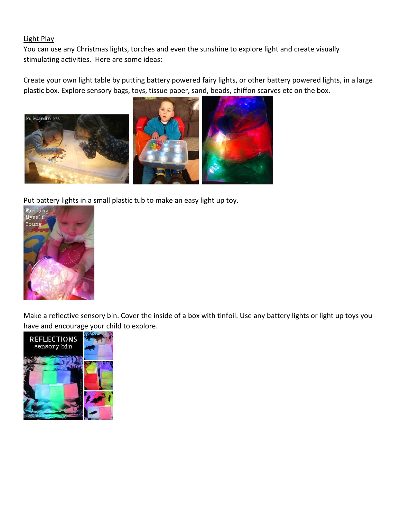## Light Play

You can use any Christmas lights, torches and even the sunshine to explore light and create visually stimulating activities. Here are some ideas:

Create your own light table by putting battery powered fairy lights, or other battery powered lights, in a large plastic box. Explore sensory bags, toys, tissue paper, sand, beads, chiffon scarves etc on the box.



Put battery lights in a small plastic tub to make an easy light up toy.



Make a reflective sensory bin. Cover the inside of a box with tinfoil. Use any battery lights or light up toys you have and encourage your child to explore.